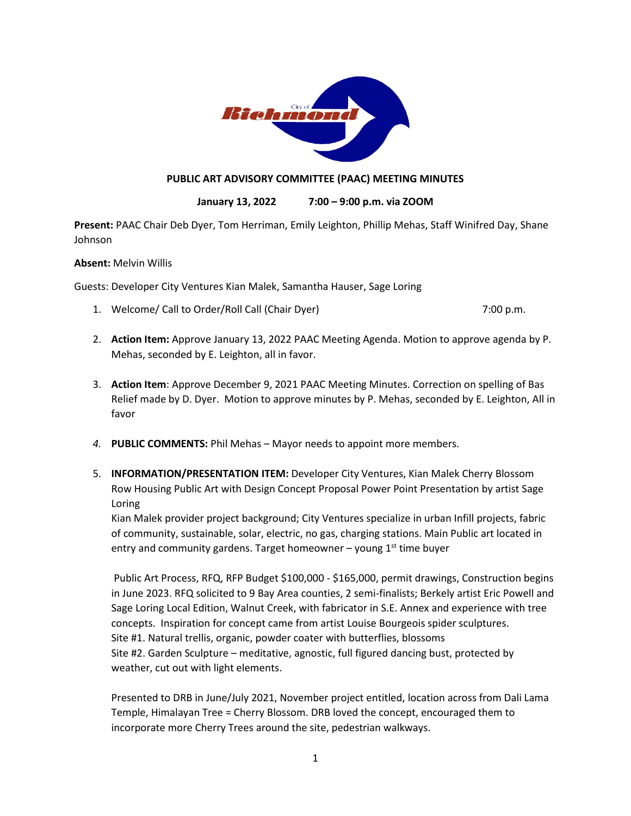

### **PUBLIC ART ADVISORY COMMITTEE (PAAC) MEETING MINUTES**

**January 13, 2022 7:00 – 9:00 p.m. via ZOOM**

**Present:** PAAC Chair Deb Dyer, Tom Herriman, Emily Leighton, Phillip Mehas, Staff Winifred Day, Shane Johnson

#### **Absent:** Melvin Willis

Guests: Developer City Ventures Kian Malek, Samantha Hauser, Sage Loring

- 1. Welcome/ Call to Order/Roll Call (Chair Dyer) 7:00 p.m.
- 2. **Action Item:** Approve January 13, 2022 PAAC Meeting Agenda. Motion to approve agenda by P. Mehas, seconded by E. Leighton, all in favor.
- 3. **Action Item**: Approve December 9, 2021 PAAC Meeting Minutes. Correction on spelling of Bas Relief made by D. Dyer. Motion to approve minutes by P. Mehas, seconded by E. Leighton, All in favor
- *4.* **PUBLIC COMMENTS:** Phil Mehas Mayor needs to appoint more members.
- 5. **INFORMATION/PRESENTATION ITEM:** Developer City Ventures, Kian Malek Cherry Blossom Row Housing Public Art with Design Concept Proposal Power Point Presentation by artist Sage Loring

Kian Malek provider project background; City Ventures specialize in urban Infill projects, fabric of community, sustainable, solar, electric, no gas, charging stations. Main Public art located in entry and community gardens. Target homeowner – young  $1<sup>st</sup>$  time buyer

Public Art Process, RFQ, RFP Budget \$100,000 - \$165,000, permit drawings, Construction begins in June 2023. RFQ solicited to 9 Bay Area counties, 2 semi-finalists; Berkely artist Eric Powell and Sage Loring Local Edition, Walnut Creek, with fabricator in S.E. Annex and experience with tree concepts. Inspiration for concept came from artist Louise Bourgeois spider sculptures. Site #1. Natural trellis, organic, powder coater with butterflies, blossoms Site #2. Garden Sculpture – meditative, agnostic, full figured dancing bust, protected by weather, cut out with light elements.

Presented to DRB in June/July 2021, November project entitled, location across from Dali Lama Temple, Himalayan Tree = Cherry Blossom. DRB loved the concept, encouraged them to incorporate more Cherry Trees around the site, pedestrian walkways.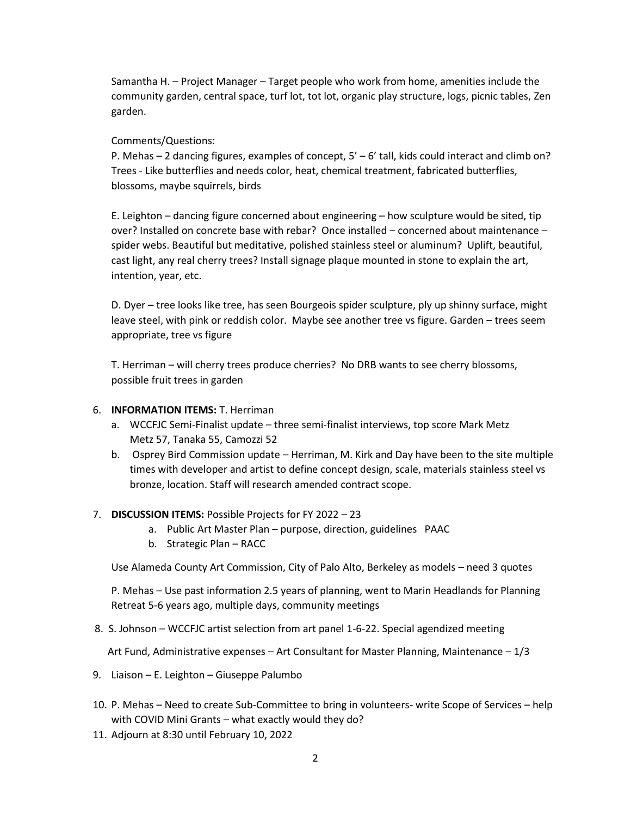Samantha H. – Project Manager – Target people who work from home, amenities include the community garden, central space, turf lot, tot lot, organic play structure, logs, picnic tables, Zen garden.

# Comments/Questions:

P. Mehas – 2 dancing figures, examples of concept, 5' – 6' tall, kids could interact and climb on? Trees - Like butterflies and needs color, heat, chemical treatment, fabricated butterflies, blossoms, maybe squirrels, birds

E. Leighton – dancing figure concerned about engineering – how sculpture would be sited, tip over? Installed on concrete base with rebar? Once installed – concerned about maintenance – spider webs. Beautiful but meditative, polished stainless steel or aluminum? Uplift, beautiful, cast light, any real cherry trees? Install signage plaque mounted in stone to explain the art, intention, year, etc.

D. Dyer – tree looks like tree, has seen Bourgeois spider sculpture, ply up shinny surface, might leave steel, with pink or reddish color. Maybe see another tree vs figure. Garden – trees seem appropriate, tree vs figure

T. Herriman – will cherry trees produce cherries? No DRB wants to see cherry blossoms, possible fruit trees in garden

#### 6. **INFORMATION ITEMS:** T. Herriman

- a. WCCFJC Semi-Finalist update three semi-finalist interviews, top score Mark Metz Metz 57, Tanaka 55, Camozzi 52
- b. Osprey Bird Commission update Herriman, M. Kirk and Day have been to the site multiple times with developer and artist to define concept design, scale, materials stainless steel vs bronze, location. Staff will research amended contract scope.

# 7. **DISCUSSION ITEMS:** Possible Projects for FY 2022 – 23

- a. Public Art Master Plan purpose, direction, guidelines PAAC
- b. Strategic Plan RACC

Use Alameda County Art Commission, City of Palo Alto, Berkeley as models – need 3 quotes

P. Mehas – Use past information 2.5 years of planning, went to Marin Headlands for Planning Retreat 5-6 years ago, multiple days, community meetings

8. S. Johnson – WCCFJC artist selection from art panel 1-6-22. Special agendized meeting

Art Fund, Administrative expenses – Art Consultant for Master Planning, Maintenance – 1/3

- 9. Liaison E. Leighton Giuseppe Palumbo
- 10. P. Mehas Need to create Sub-Committee to bring in volunteers- write Scope of Services help with COVID Mini Grants – what exactly would they do?
- 11. Adjourn at 8:30 until February 10, 2022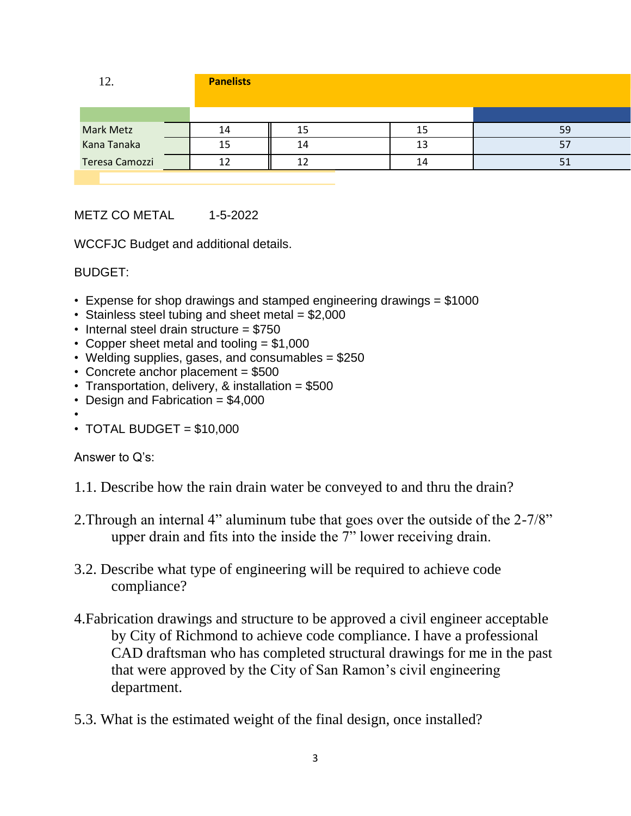| 12.            | <b>Panelists</b> |    |    |    |
|----------------|------------------|----|----|----|
|                |                  |    |    |    |
| Mark Metz      | 14               | 15 | 15 | 59 |
| Kana Tanaka    | 15               | 14 | 13 |    |
| Teresa Camozzi |                  | 12 | 14 |    |
|                |                  |    |    |    |

METZ CO METAL 1-5-2022

WCCFJC Budget and additional details.

BUDGET:

- Expense for shop drawings and stamped engineering drawings = \$1000
- Stainless steel tubing and sheet metal  $= $2,000$
- Internal steel drain structure = \$750
- Copper sheet metal and tooling = \$1,000
- Welding supplies, gases, and consumables = \$250
- Concrete anchor placement = \$500
- Transportation, delivery, & installation = \$500
- Design and Fabrication  $= $4,000$
- •
- $\cdot$  TOTAL BUDGET = \$10,000

Answer to Q's:

- 1.1. Describe how the rain drain water be conveyed to and thru the drain?
- 2.Through an internal 4" aluminum tube that goes over the outside of the 2-7/8" upper drain and fits into the inside the 7" lower receiving drain.
- 3.2. Describe what type of engineering will be required to achieve code compliance?
- 4.Fabrication drawings and structure to be approved a civil engineer acceptable by City of Richmond to achieve code compliance. I have a professional CAD draftsman who has completed structural drawings for me in the past that were approved by the City of San Ramon's civil engineering department.
- 5.3. What is the estimated weight of the final design, once installed?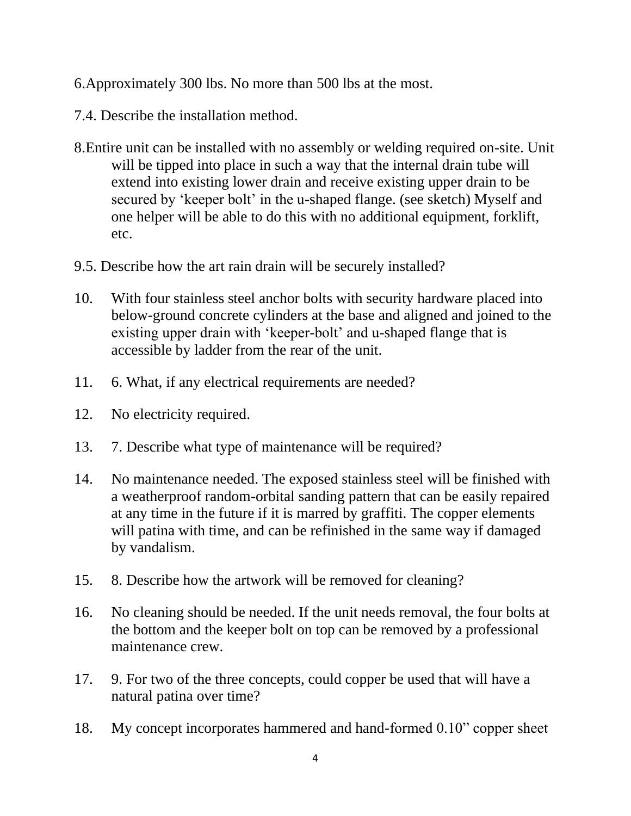- 6.Approximately 300 lbs. No more than 500 lbs at the most.
- 7.4. Describe the installation method.
- 8.Entire unit can be installed with no assembly or welding required on-site. Unit will be tipped into place in such a way that the internal drain tube will extend into existing lower drain and receive existing upper drain to be secured by 'keeper bolt' in the u-shaped flange. (see sketch) Myself and one helper will be able to do this with no additional equipment, forklift, etc.
- 9.5. Describe how the art rain drain will be securely installed?
- 10. With four stainless steel anchor bolts with security hardware placed into below-ground concrete cylinders at the base and aligned and joined to the existing upper drain with 'keeper-bolt' and u-shaped flange that is accessible by ladder from the rear of the unit.
- 11. 6. What, if any electrical requirements are needed?
- 12. No electricity required.
- 13. 7. Describe what type of maintenance will be required?
- 14. No maintenance needed. The exposed stainless steel will be finished with a weatherproof random-orbital sanding pattern that can be easily repaired at any time in the future if it is marred by graffiti. The copper elements will patina with time, and can be refinished in the same way if damaged by vandalism.
- 15. 8. Describe how the artwork will be removed for cleaning?
- 16. No cleaning should be needed. If the unit needs removal, the four bolts at the bottom and the keeper bolt on top can be removed by a professional maintenance crew.
- 17. 9. For two of the three concepts, could copper be used that will have a natural patina over time?
- 18. My concept incorporates hammered and hand-formed 0.10" copper sheet